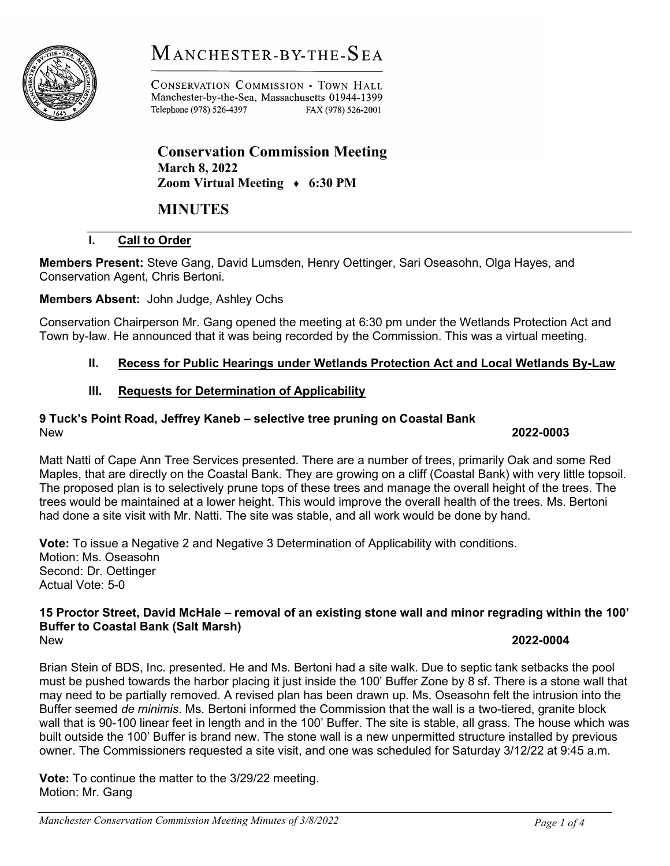# $M$  anchester-by-the- $S$ ea



CONSERVATION COMMISSION . TOWN HALL Manchester-by-the-Sea, Massachusetts 01944-1399 Telephone (978) 526-4397 FAX (978) 526-2001

Conservation Commission Meeting March 8, 2022 Zoom Virtual Meeting ♦ 6:30 PM

## MINUTES

### I. Call to Order

Members Present: Steve Gang, David Lumsden, Henry Oettinger, Sari Oseasohn, Olga Hayes, and Conservation Agent, Chris Bertoni.

Members Absent: John Judge, Ashley Ochs

Conservation Chairperson Mr. Gang opened the meeting at 6:30 pm under the Wetlands Protection Act and Town by-law. He announced that it was being recorded by the Commission. This was a virtual meeting.

### II. Recess for Public Hearings under Wetlands Protection Act and Local Wetlands By-Law

### III. Requests for Determination of Applicability

### 9 Tuck's Point Road, Jeffrey Kaneb – selective tree pruning on Coastal Bank New 2022-0003

Matt Natti of Cape Ann Tree Services presented. There are a number of trees, primarily Oak and some Red Maples, that are directly on the Coastal Bank. They are growing on a cliff (Coastal Bank) with very little topsoil. The proposed plan is to selectively prune tops of these trees and manage the overall height of the trees. The trees would be maintained at a lower height. This would improve the overall health of the trees. Ms. Bertoni had done a site visit with Mr. Natti. The site was stable, and all work would be done by hand.

Vote: To issue a Negative 2 and Negative 3 Determination of Applicability with conditions. Motion: Ms. Oseasohn Second: Dr. Oettinger Actual Vote: 5-0

#### 15 Proctor Street, David McHale – removal of an existing stone wall and minor regrading within the 100' Buffer to Coastal Bank (Salt Marsh) New 2022-0004

Brian Stein of BDS, Inc. presented. He and Ms. Bertoni had a site walk. Due to septic tank setbacks the pool must be pushed towards the harbor placing it just inside the 100' Buffer Zone by 8 sf. There is a stone wall that may need to be partially removed. A revised plan has been drawn up. Ms. Oseasohn felt the intrusion into the Buffer seemed de minimis. Ms. Bertoni informed the Commission that the wall is a two-tiered, granite block wall that is 90-100 linear feet in length and in the 100' Buffer. The site is stable, all grass. The house which was built outside the 100' Buffer is brand new. The stone wall is a new unpermitted structure installed by previous owner. The Commissioners requested a site visit, and one was scheduled for Saturday 3/12/22 at 9:45 a.m.

Vote: To continue the matter to the 3/29/22 meeting. Motion: Mr. Gang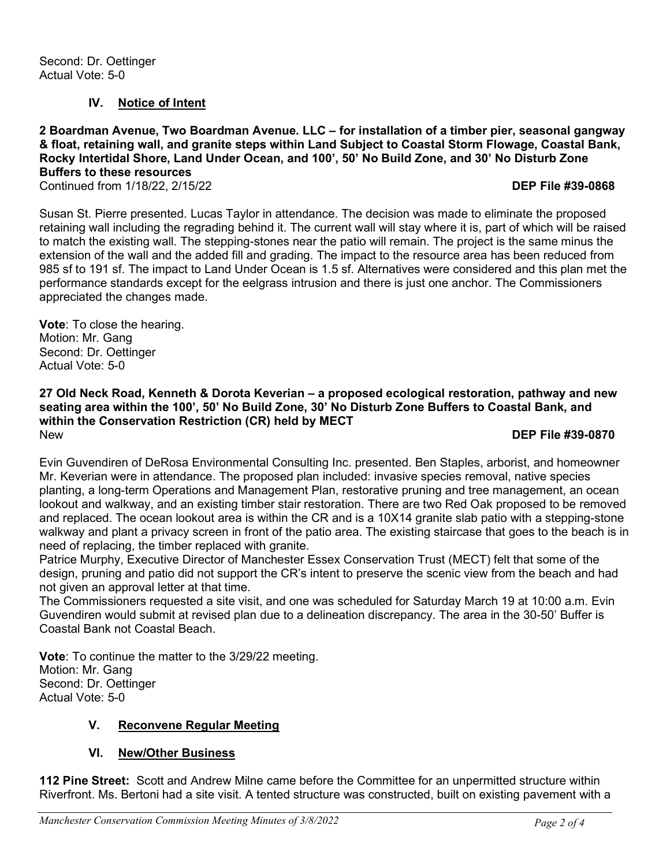#### IV. Notice of Intent

2 Boardman Avenue, Two Boardman Avenue. LLC – for installation of a timber pier, seasonal gangway & float, retaining wall, and granite steps within Land Subject to Coastal Storm Flowage, Coastal Bank, Rocky Intertidal Shore, Land Under Ocean, and 100', 50' No Build Zone, and 30' No Disturb Zone Buffers to these resources

Continued from 1/18/22, 2/15/22 DEP File #39-0868

Susan St. Pierre presented. Lucas Taylor in attendance. The decision was made to eliminate the proposed retaining wall including the regrading behind it. The current wall will stay where it is, part of which will be raised to match the existing wall. The stepping-stones near the patio will remain. The project is the same minus the extension of the wall and the added fill and grading. The impact to the resource area has been reduced from 985 sf to 191 sf. The impact to Land Under Ocean is 1.5 sf. Alternatives were considered and this plan met the performance standards except for the eelgrass intrusion and there is just one anchor. The Commissioners appreciated the changes made.

Vote: To close the hearing. Motion: Mr. Gang Second: Dr. Oettinger Actual Vote: 5-0

27 Old Neck Road, Kenneth & Dorota Keverian – a proposed ecological restoration, pathway and new seating area within the 100', 50' No Build Zone, 30' No Disturb Zone Buffers to Coastal Bank, and within the Conservation Restriction (CR) held by MECT New DEP File #39-0870

Evin Guvendiren of DeRosa Environmental Consulting Inc. presented. Ben Staples, arborist, and homeowner Mr. Keverian were in attendance. The proposed plan included: invasive species removal, native species planting, a long-term Operations and Management Plan, restorative pruning and tree management, an ocean lookout and walkway, and an existing timber stair restoration. There are two Red Oak proposed to be removed and replaced. The ocean lookout area is within the CR and is a 10X14 granite slab patio with a stepping-stone walkway and plant a privacy screen in front of the patio area. The existing staircase that goes to the beach is in need of replacing, the timber replaced with granite.

Patrice Murphy, Executive Director of Manchester Essex Conservation Trust (MECT) felt that some of the design, pruning and patio did not support the CR's intent to preserve the scenic view from the beach and had not given an approval letter at that time.

The Commissioners requested a site visit, and one was scheduled for Saturday March 19 at 10:00 a.m. Evin Guvendiren would submit at revised plan due to a delineation discrepancy. The area in the 30-50' Buffer is Coastal Bank not Coastal Beach.

Vote: To continue the matter to the 3/29/22 meeting. Motion: Mr. Gang Second: Dr. Oettinger Actual Vote: 5-0

#### V. Reconvene Regular Meeting

#### VI. New/Other Business

112 Pine Street: Scott and Andrew Milne came before the Committee for an unpermitted structure within Riverfront. Ms. Bertoni had a site visit. A tented structure was constructed, built on existing pavement with a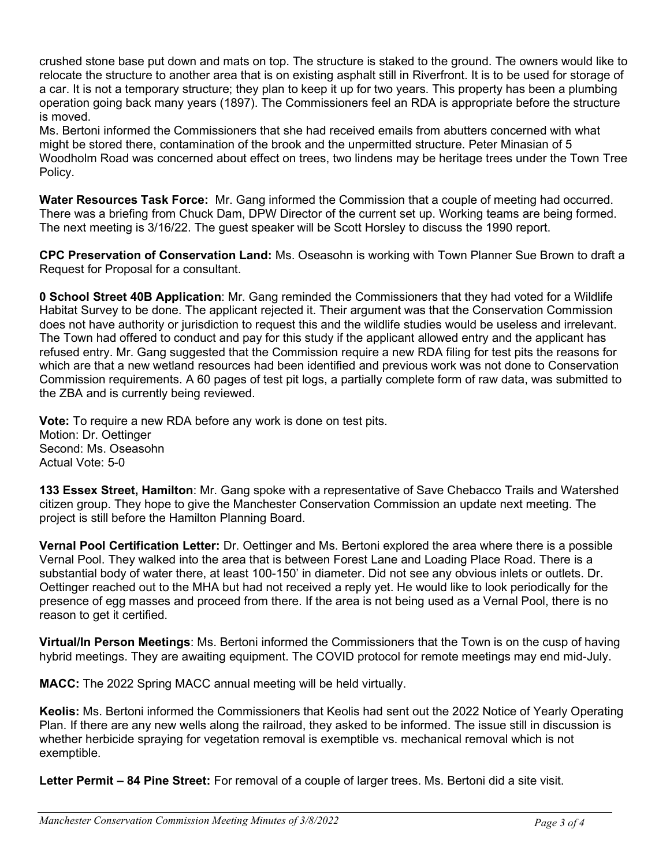crushed stone base put down and mats on top. The structure is staked to the ground. The owners would like to relocate the structure to another area that is on existing asphalt still in Riverfront. It is to be used for storage of a car. It is not a temporary structure; they plan to keep it up for two years. This property has been a plumbing operation going back many years (1897). The Commissioners feel an RDA is appropriate before the structure is moved.

Ms. Bertoni informed the Commissioners that she had received emails from abutters concerned with what might be stored there, contamination of the brook and the unpermitted structure. Peter Minasian of 5 Woodholm Road was concerned about effect on trees, two lindens may be heritage trees under the Town Tree Policy.

Water Resources Task Force: Mr. Gang informed the Commission that a couple of meeting had occurred. There was a briefing from Chuck Dam, DPW Director of the current set up. Working teams are being formed. The next meeting is 3/16/22. The guest speaker will be Scott Horsley to discuss the 1990 report.

CPC Preservation of Conservation Land: Ms. Oseasohn is working with Town Planner Sue Brown to draft a Request for Proposal for a consultant.

0 School Street 40B Application: Mr. Gang reminded the Commissioners that they had voted for a Wildlife Habitat Survey to be done. The applicant rejected it. Their argument was that the Conservation Commission does not have authority or jurisdiction to request this and the wildlife studies would be useless and irrelevant. The Town had offered to conduct and pay for this study if the applicant allowed entry and the applicant has refused entry. Mr. Gang suggested that the Commission require a new RDA filing for test pits the reasons for which are that a new wetland resources had been identified and previous work was not done to Conservation Commission requirements. A 60 pages of test pit logs, a partially complete form of raw data, was submitted to the ZBA and is currently being reviewed.

Vote: To require a new RDA before any work is done on test pits. Motion: Dr. Oettinger Second: Ms. Oseasohn Actual Vote: 5-0

133 Essex Street, Hamilton: Mr. Gang spoke with a representative of Save Chebacco Trails and Watershed citizen group. They hope to give the Manchester Conservation Commission an update next meeting. The project is still before the Hamilton Planning Board.

Vernal Pool Certification Letter: Dr. Oettinger and Ms. Bertoni explored the area where there is a possible Vernal Pool. They walked into the area that is between Forest Lane and Loading Place Road. There is a substantial body of water there, at least 100-150' in diameter. Did not see any obvious inlets or outlets. Dr. Oettinger reached out to the MHA but had not received a reply yet. He would like to look periodically for the presence of egg masses and proceed from there. If the area is not being used as a Vernal Pool, there is no reason to get it certified.

Virtual/In Person Meetings: Ms. Bertoni informed the Commissioners that the Town is on the cusp of having hybrid meetings. They are awaiting equipment. The COVID protocol for remote meetings may end mid-July.

MACC: The 2022 Spring MACC annual meeting will be held virtually.

Keolis: Ms. Bertoni informed the Commissioners that Keolis had sent out the 2022 Notice of Yearly Operating Plan. If there are any new wells along the railroad, they asked to be informed. The issue still in discussion is whether herbicide spraying for vegetation removal is exemptible vs. mechanical removal which is not exemptible.

Letter Permit – 84 Pine Street: For removal of a couple of larger trees. Ms. Bertoni did a site visit.